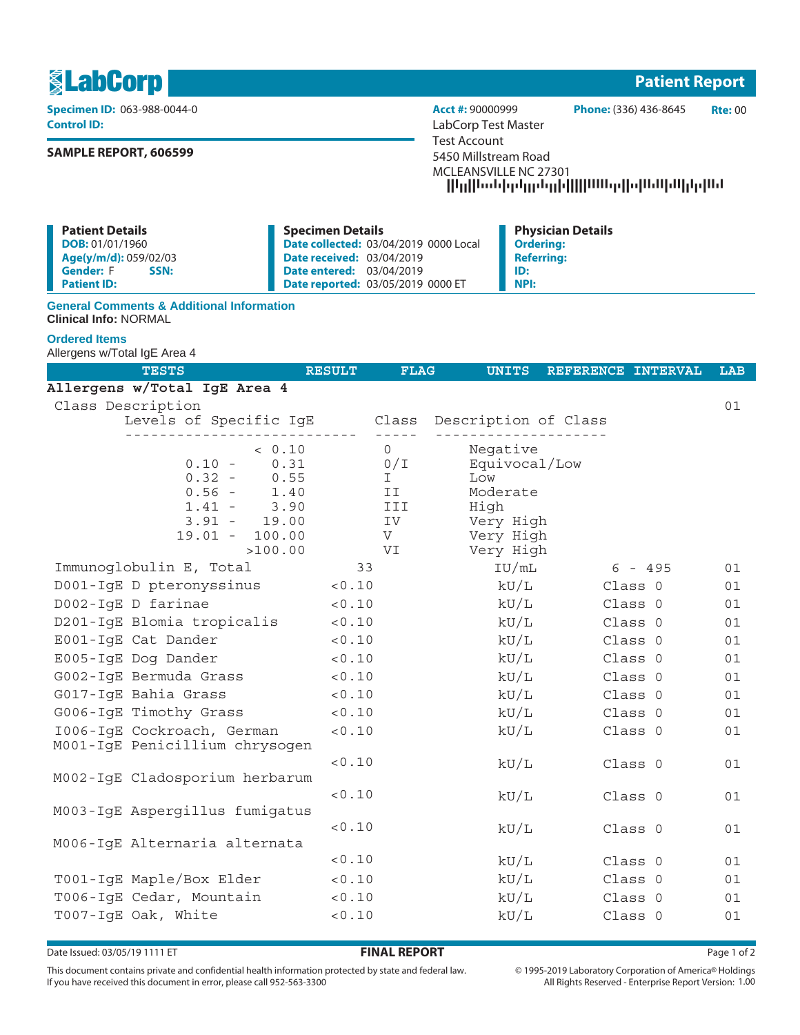**《LabCorp》** Patient Report

**Control ID:** LabCorp Test Master

# **SAMPLE REPORT, 606599**

**Specimen ID:** 063-988-0044-0 **Acct #:** 90000999 **Phone:** (336) 436-8645 **Rte:** 00 Test Account 5450 Millstream Road MCLEANSVILLE NC 27301 --------------------

**Patient Details DOB:** 01/01/1960 **Age(y/m/d):** 059/02/03 **Gender:** F **Patient ID: Specimen Details Date collected:** 03/04/2019 0000 Local **Date received:** 03/04/2019 **Date entered:** 03/04/2019 **Date reported:** 03/05/2019 0000 ET **Physician Details Ordering: Referring: ID: NPI:**

## **General Comments & Additional Information Clinical Info:** NORMAL

# **Ordered Items**

Allergens w/Total IgE Area 4

| <b>TESTS</b>                                                                                                                 | <b>RESULT</b> | <b>FLAG</b>                                    | <b>UNITS</b>                                                                   | REFERENCE INTERVAL |         | LAB |
|------------------------------------------------------------------------------------------------------------------------------|---------------|------------------------------------------------|--------------------------------------------------------------------------------|--------------------|---------|-----|
| Allergens w/Total IgE Area 4                                                                                                 |               |                                                |                                                                                |                    |         |     |
| Class Description                                                                                                            |               |                                                |                                                                                |                    |         | 01  |
| Levels of Specific IgE Class Description of Class                                                                            |               |                                                |                                                                                |                    |         |     |
| < 0.10<br>0.31<br>$0.10 -$<br>$0.32 -$<br>0.55<br>$0.56 -$<br>1.40<br>$1.41 -$<br>3.90<br>$3.91 - 19.00$<br>$19.01 - 100.00$ |               | $\Omega$<br>0/T<br>I.<br>II<br>III.<br>IV<br>V | Negative<br>Equivocal/Low<br>Low<br>Moderate<br>High<br>Very High<br>Very High |                    |         |     |
| >100.00                                                                                                                      |               | VI                                             | Very High                                                                      |                    |         |     |
| Immunoglobulin E, Total                                                                                                      | 33            |                                                | IU/mL                                                                          |                    | 6 - 495 | 01  |
| D001-IqE D pteronyssinus                                                                                                     | < 0.10        |                                                | kU/L                                                                           | Class 0            |         | 01  |
| D002-IgE D farinae                                                                                                           | < 0.10        |                                                | kU/L                                                                           | Class 0            |         | 01  |
| D201-IgE Blomia tropicalis                                                                                                   | < 0.10        |                                                | kU/L                                                                           | Class 0            |         | 01  |
| E001-IgE Cat Dander                                                                                                          | < 0.10        |                                                | kU/L                                                                           | Class 0            |         | 01  |
| E005-IgE Dog Dander                                                                                                          | $< 0.10$      |                                                | kU/L                                                                           | Class 0            |         | 01  |
| G002-IqE Bermuda Grass                                                                                                       | < 0.10        |                                                | kU/L                                                                           | Class 0            |         | 01  |
| G017-IgE Bahia Grass                                                                                                         | < 0.10        |                                                | kU/L                                                                           | Class 0            |         | 01  |
| G006-IqE Timothy Grass                                                                                                       | < 0.10        |                                                | kU/L                                                                           | Class 0            |         | 01  |
| 1006-IqE Cockroach, German<br>M001-IgE Penicillium chrysogen                                                                 | < 0.10        |                                                | kU/L                                                                           | Class 0            |         | 01  |
| M002-IgE Cladosporium herbarum                                                                                               | < 0.10        |                                                | kU/L                                                                           | Class 0            |         | 01  |
| M003-IgE Aspergillus fumigatus                                                                                               | < 0.10        |                                                | kU/L                                                                           | Class 0            |         | 01  |
| M006-IgE Alternaria alternata                                                                                                | < 0.10        |                                                | kU/L                                                                           | Class 0            |         | 01  |
|                                                                                                                              | < 0.10        |                                                | kU/L                                                                           | Class 0            |         | 01  |
| T001-IgE Maple/Box Elder                                                                                                     | < 0.10        |                                                | kU/L                                                                           | Class 0            |         | 01  |
| T006-IgE Cedar, Mountain                                                                                                     | 0.10          |                                                | kU/L                                                                           | Class 0            |         | 01  |
| T007-IqE Oak, White                                                                                                          | < 0.10        |                                                | kU/L                                                                           | Class 0            |         | 01  |

Date Issued: 03/05/19 1111 ET **FINAL REPORT** Page 1 of 2

This document contains private and confidential health information protected by state and federal law. If you have received this document in error, please call 952-563-3300

 $\circledcirc$  1995-2019 Laboratory Corporation of America  $\circledcirc$  Holdings All Rights Reserved - Enterprise Report Version: 1.00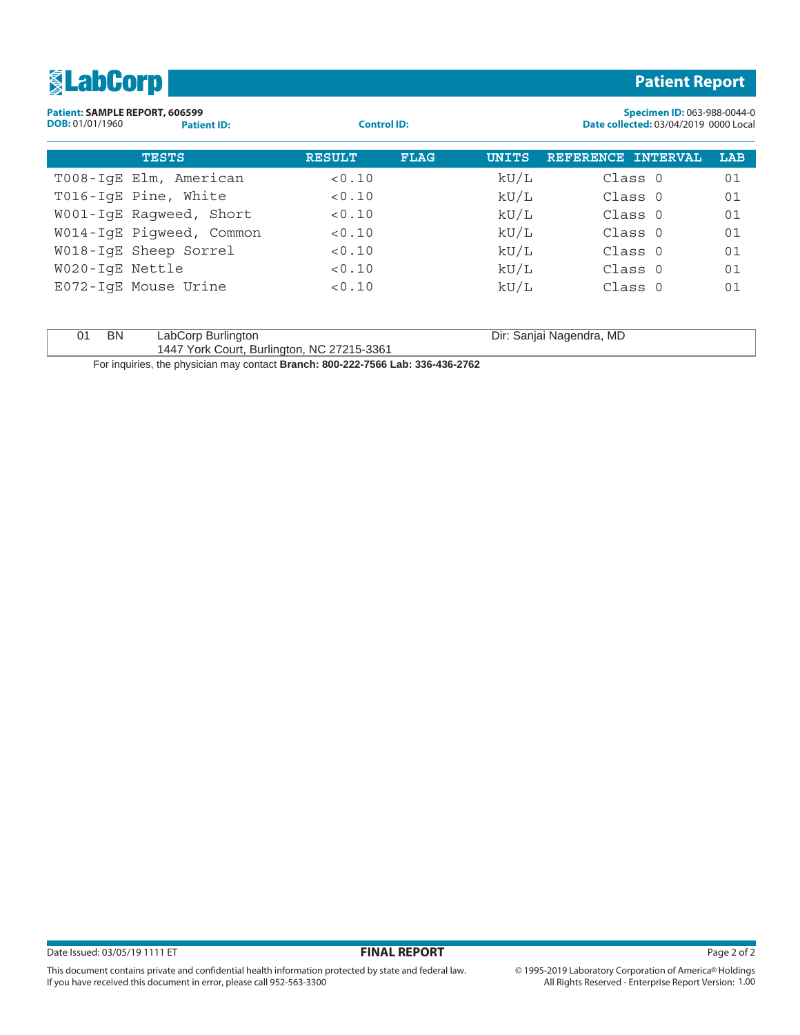| <b>ElabCorp</b>                                          |                    |                    |             |              |                          | <b>Patient Report</b>                                                       |
|----------------------------------------------------------|--------------------|--------------------|-------------|--------------|--------------------------|-----------------------------------------------------------------------------|
| Patient: SAMPLE REPORT, 606599<br><b>DOB:</b> 01/01/1960 | <b>Patient ID:</b> | <b>Control ID:</b> |             |              |                          | Specimen ID: 063-988-0044-0<br><b>Date collected: 03/04/2019 0000 Local</b> |
| <b>TESTS</b>                                             |                    | <b>RESULT</b>      | <b>FLAG</b> | <b>UNITS</b> | REFERENCE INTERVAL       | LAB                                                                         |
| T008-IqE Elm, American                                   |                    | < 0.10             |             | kU/L         | Class 0                  | 01                                                                          |
| T016-IqE Pine, White                                     |                    | < 0.10             |             | kU/L         | Class 0                  | 01                                                                          |
| W001-IqE Raqweed, Short                                  |                    | < 0.10             |             | kU/L         | Class 0                  | 01                                                                          |
| W014-IqE Piqweed, Common                                 |                    | < 0.10             |             | kU/L         | Class 0                  | 01                                                                          |
| W018-IgE Sheep Sorrel                                    |                    | < 0.10             |             | kU/L         | Class 0                  | 01                                                                          |
| W020-IqE Nettle                                          |                    | < 0.10             |             | kU/L         | Class 0                  | 01                                                                          |
| E072-IqE Mouse Urine                                     |                    | < 0.10             |             | kU/L         | Class 0                  | 01                                                                          |
| <b>BN</b><br>01                                          | LabCorp Burlington |                    |             |              | Dir: Sanjai Nagendra, MD |                                                                             |

1447 York Court, Burlington, NC 27215-3361

This document contains private and confidential health information protected by state and federal law.

If you have received this document in error, please call 952-563-3300

For inquiries, the physician may contact **Branch: 800-222-7566 Lab: 336-436-2762**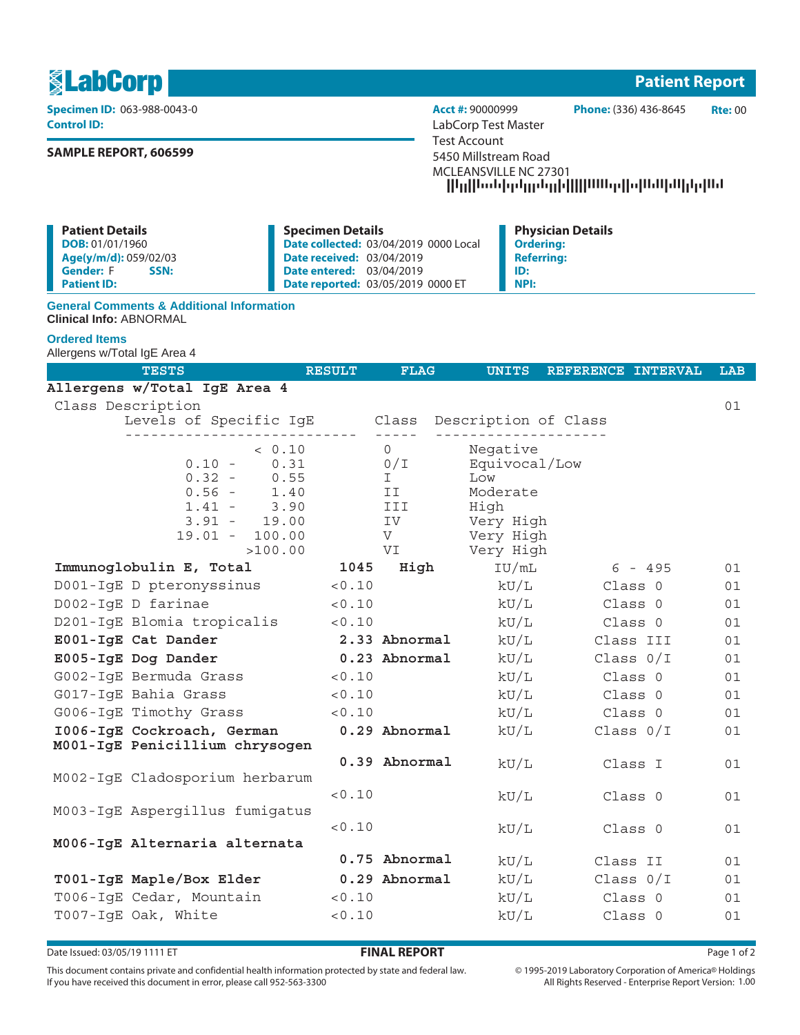

**Control ID:** LabCorp Test Master

# **SAMPLE REPORT, 606599**

**Specimen ID:** 063-988-0043-0 **Acct #:** 90000999 **Phone:** (336) 436-8645 **Rte:** 00 Test Account 5450 Millstream Road MCLEANSVILLE NC 27301 --------------------

| <b>Patient Details</b>   | <b>Specimen Details</b>                      | <b>Physician Details</b> |
|--------------------------|----------------------------------------------|--------------------------|
| DOB: 01/01/1960          | <b>Date collected: 03/04/2019 0000 Local</b> | <b>Ordering:</b>         |
| Age(y/m/d): 059/02/03    | <b>Date received: 03/04/2019</b>             | <b>Referring:</b>        |
| <b>Gender:</b> F<br>SSN: | <b>Date entered: 03/04/2019</b>              | ID:                      |
| <b>Patient ID:</b>       | <b>Date reported: 03/05/2019 0000 ET</b>     | NPI:                     |

## **General Comments & Additional Information Clinical Info:** ABNORMAL

# **Ordered Items**

Allergens w/Total IgE Area 4

| <b>TESTS</b>                                      | <b>RESULT</b> | <b>FLAG</b>   | <b>UNITS</b>      | REFERENCE INTERVAL | <b>LAB</b> |
|---------------------------------------------------|---------------|---------------|-------------------|--------------------|------------|
| Allergens w/Total IgE Area 4                      |               |               |                   |                    |            |
| Class Description                                 |               |               |                   |                    | 01         |
| Levels of Specific IgE Class Description of Class |               | $- - - - -$   |                   |                    |            |
| < 0.10                                            |               | $\Omega$      | Negative          |                    |            |
| 0.31<br>$0.10 -$                                  |               | 0/T           | Equivocal/Low     |                    |            |
| $0.32 -$<br>0.55                                  |               | T             | Low               |                    |            |
| $0.56 -$<br>1.40                                  |               | II            | Moderate          |                    |            |
| $1.41 -$<br>3.90<br>$3.91 - 19.00$                |               | III<br>IV     | High<br>Very High |                    |            |
| $19.01 - 100.00$                                  |               | V             | Very High         |                    |            |
| >100.00                                           |               | VI            | Very High         |                    |            |
| Immunoglobulin E, Total                           | 1045          | High          | IU/mL             | 6 - 495            | 01         |
| D001-IgE D pteronyssinus <0.10                    |               |               | kU/L              | Class 0            | 01         |
| D002-IgE D farinae                                | < 0.10        |               | kU/L              | Class 0            | 01         |
| D201-IgE Blomia tropicalis                        | < 0.10        |               | kU/L              | Class 0            | 01         |
| E001-IgE Cat Dander                               |               | 2.33 Abnormal | kU/L              | Class III          | 01         |
| E005-IgE Dog Dander                               |               | 0.23 Abnormal | kU/L              | Class $0/I$        | 01         |
| G002-IqE Bermuda Grass                            | < 0.10        |               | kU/L              | Class 0            | 01         |
| G017-IqE Bahia Grass                              | < 0.10        |               | kU/L              | Class 0            | 01         |
| G006-IqE Timothy Grass                            | < 0.10        |               | $\rm kU/L$        | Class 0            | 01         |
| 1006-IgE Cockroach, German                        |               | 0.29 Abnormal | kU/L              | Class $0/I$        | 01         |
| M001-IgE Penicillium chrysogen                    |               |               |                   |                    |            |
|                                                   |               | 0.39 Abnormal | kU/L              | Class I            | 01         |
| M002-IgE Cladosporium herbarum                    |               |               |                   |                    |            |
| M003-IgE Aspergillus fumigatus                    | < 0.10        |               | kU/L              | Class 0            | 01         |
|                                                   | < 0.10        |               | kU/L              | Class 0            | 01         |
| M006-IgE Alternaria alternata                     |               |               |                   |                    |            |
|                                                   |               | 0.75 Abnormal | kU/L              | Class II           | 01         |
| T001-IgE Maple/Box Elder                          |               | 0.29 Abnormal | kU/L              | Class $0/I$        | 01         |
| T006-IgE Cedar, Mountain                          | < 0.10        |               | kU/L              | Class O            | 01         |
| T007-IqE Oak, White                               | < 0.10        |               | kU/L              | Class 0            | 01         |
|                                                   |               |               |                   |                    |            |

Date Issued: 03/05/19 1111 ET **FINAL REPORT** Page 1 of 2

This document contains private and confidential health information protected by state and federal law. If you have received this document in error, please call 952-563-3300

 $\circledcirc$  1995-2019 Laboratory Corporation of America  $\circledcirc$  Holdings All Rights Reserved - Enterprise Report Version: 1.00